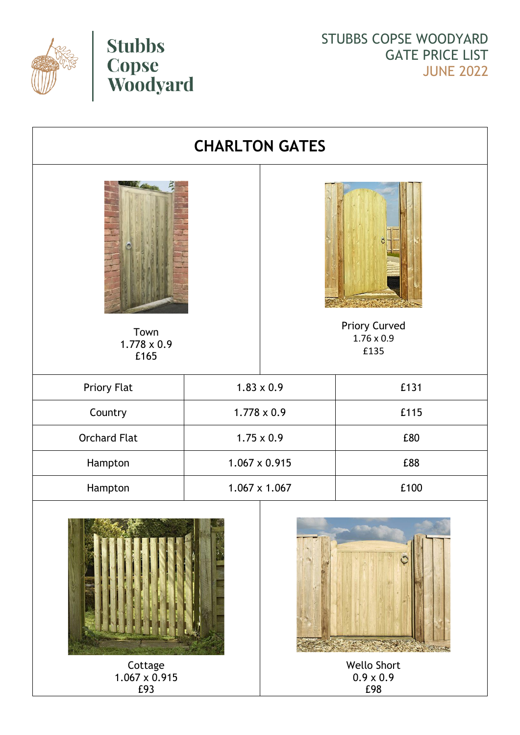



STUBBS COPSE WOODYARD GATE PRICE LIST JUNE 2022

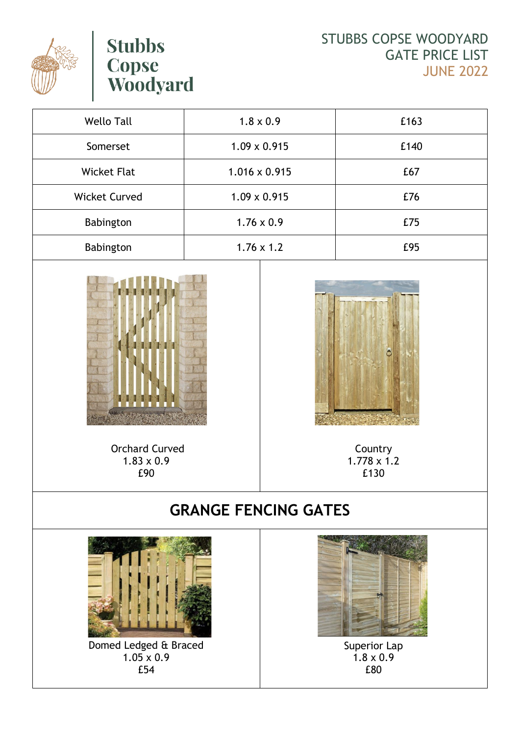

## **Stubbs Copse<br>Woodyard**

STUBBS COPSE WOODYARD GATE PRICE LIST JUNE 2022

| <b>Wello Tall</b>    | $1.8 \times 0.9$     | £163 |
|----------------------|----------------------|------|
| Somerset             | $1.09 \times 0.915$  | £140 |
| <b>Wicket Flat</b>   | $1.016 \times 0.915$ | £67  |
| <b>Wicket Curved</b> | $1.09 \times 0.915$  | £76  |
| Babington            | $1.76 \times 0.9$    | £75  |
| Babington            | $1.76 \times 1.2$    | £95  |



Orchard Curved  $1.83 \times 0.9$ £90

Country 1.778 x 1.2 £130

## **GRANGE FENCING GATES**



Domed Ledged & Braced 1.05 x 0.9 £54



Superior Lap  $1.8 \times 0.9$ £80